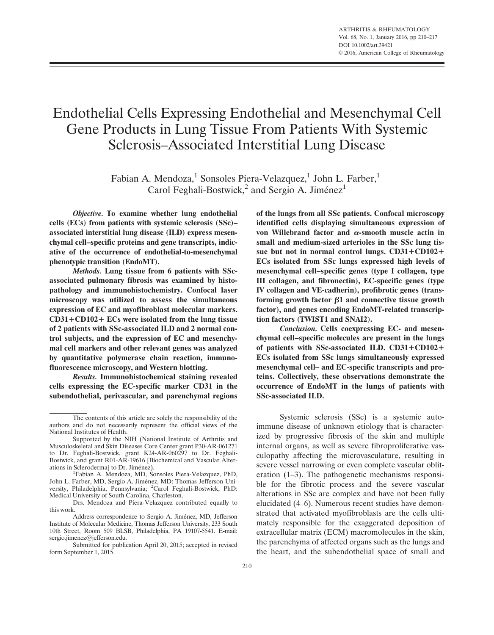# Endothelial Cells Expressing Endothelial and Mesenchymal Cell Gene Products in Lung Tissue From Patients With Systemic Sclerosis–Associated Interstitial Lung Disease

Fabian A. Mendoza,<sup>1</sup> Sonsoles Piera-Velazquez,<sup>1</sup> John L. Farber,<sup>1</sup> Carol Feghali-Bostwick,<sup>2</sup> and Sergio A. Jiménez<sup>1</sup>

Objective. To examine whether lung endothelial cells (ECs) from patients with systemic sclerosis (SSc)– associated interstitial lung disease (ILD) express mesenchymal cell–specific proteins and gene transcripts, indicative of the occurrence of endothelial-to-mesenchymal phenotypic transition (EndoMT).

Methods. Lung tissue from 6 patients with SScassociated pulmonary fibrosis was examined by histopathology and immunohistochemistry. Confocal laser microscopy was utilized to assess the simultaneous expression of EC and myofibroblast molecular markers.  $CD31+CD102+ECs$  were isolated from the lung tissue of 2 patients with SSc-associated ILD and 2 normal control subjects, and the expression of EC and mesenchymal cell markers and other relevant genes was analyzed by quantitative polymerase chain reaction, immunofluorescence microscopy, and Western blotting.

Results. Immunohistochemical staining revealed cells expressing the EC-specific marker CD31 in the subendothelial, perivascular, and parenchymal regions of the lungs from all SSc patients. Confocal microscopy identified cells displaying simultaneous expression of von Willebrand factor and  $\alpha$ -smooth muscle actin in small and medium-sized arterioles in the SSc lung tissue but not in normal control lungs.  $CD31 + CD102 +$ ECs isolated from SSc lungs expressed high levels of mesenchymal cell–specific genes (type I collagen, type III collagen, and fibronectin), EC-specific genes (type IV collagen and VE-cadherin), profibrotic genes (transforming growth factor  $\beta1$  and connective tissue growth factor), and genes encoding EndoMT-related transcription factors (TWIST1 and SNAI2).

Conclusion. Cells coexpressing EC- and mesenchymal cell–specific molecules are present in the lungs of patients with SSc-associated ILD.  $CD31 + CD102 +$ ECs isolated from SSc lungs simultaneously expressed mesenchymal cell– and EC-specific transcripts and proteins. Collectively, these observations demonstrate the occurrence of EndoMT in the lungs of patients with SSc-associated ILD.

Systemic sclerosis (SSc) is a systemic autoimmune disease of unknown etiology that is characterized by progressive fibrosis of the skin and multiple internal organs, as well as severe fibroproliferative vasculopathy affecting the microvasculature, resulting in severe vessel narrowing or even complete vascular obliteration (1–3). The pathogenetic mechanisms responsible for the fibrotic process and the severe vascular alterations in SSc are complex and have not been fully elucidated (4–6). Numerous recent studies have demonstrated that activated myofibroblasts are the cells ultimately responsible for the exaggerated deposition of extracellular matrix (ECM) macromolecules in the skin, the parenchyma of affected organs such as the lungs and the heart, and the subendothelial space of small and

The contents of this article are solely the responsibility of the authors and do not necessarily represent the official views of the National Institutes of Health.

Supported by the NIH (National Institute of Arthritis and Musculoskeletal and Skin Diseases Core Center grant P30-AR-061271 to Dr. Feghali-Bostwick, grant K24-AR-060297 to Dr. Feghali-Bostwick, and grant R01-AR-19616 [Biochemical and Vascular Alterations in Scleroderma] to Dr. Jiménez).<br><sup>1</sup>Eabian A. Mandoza, MD. Se

Fabian A. Mendoza, MD, Sonsoles Piera-Velazquez, PhD, John L. Farber, MD, Sergio A. Jiménez, MD: Thomas Jefferson University, Philadelphia, Pennsylvania; <sup>2</sup>Carol Feghali-Bostwick, PhD: Medical University of South Carolina, Charleston.

Drs. Mendoza and Piera-Velazquez contributed equally to this work.

Address correspondence to Sergio A. Jiménez, MD, Jefferson Institute of Molecular Medicine, Thomas Jefferson University, 233 South 10th Street, Room 509 BLSB, Philadelphia, PA 19107-5541. E-mail: sergio.jimenez@jefferson.edu.

Submitted for publication April 20, 2015; accepted in revised form September 1, 2015.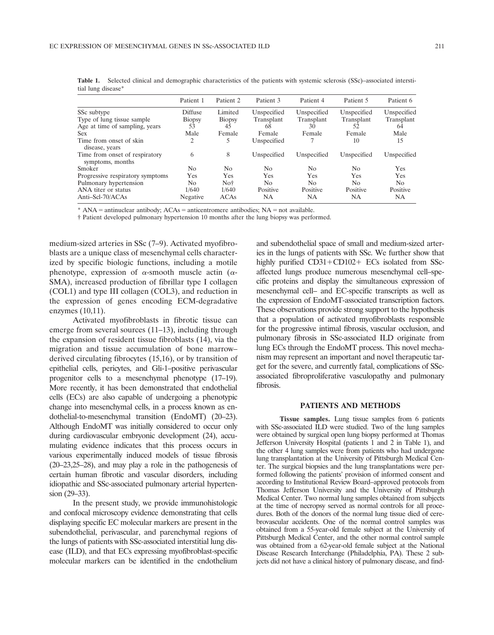|                                                    | Patient 1     | Patient 2      | Patient 3   | Patient 4      | Patient 5      | Patient 6   |
|----------------------------------------------------|---------------|----------------|-------------|----------------|----------------|-------------|
| SSc subtype                                        | Diffuse       | Limited        | Unspecified | Unspecified    | Unspecified    | Unspecified |
| Type of lung tissue sample                         | <b>Biopsy</b> | <b>Biopsy</b>  | Transplant  | Transplant     | Transplant     | Transplant  |
| Age at time of sampling, years                     | 53            | 45             | 68          | 30             | 52             | 64          |
| <b>Sex</b>                                         | Male          | Female         | Female      | Female         | Female         | Male        |
| Time from onset of skin<br>disease, years          | 2             |                | Unspecified |                | 10             | 15          |
| Time from onset of respiratory<br>symptoms, months | 6             | 8              | Unspecified | Unspecified    | Unspecified    | Unspecified |
| Smoker                                             | No.           | N <sub>0</sub> | No          | N <sub>0</sub> | N <sub>0</sub> | <b>Yes</b>  |
| Progressive respiratory symptoms                   | Yes           | Yes            | Yes         | Yes            | Yes            | Yes         |
| Pulmonary hypertension                             | No.           | Not            | No          | N <sub>0</sub> | N <sub>0</sub> | No.         |
| ANA titer or status                                | 1/640         | 1/640          | Positive    | Positive       | Positive       | Positive    |
| Anti-Scl-70/ACAs                                   | Negative      | <b>ACAs</b>    | NA          | NA             | NA             | <b>NA</b>   |

Table 1. Selected clinical and demographic characteristics of the patients with systemic sclerosis (SSc)–associated interstitial lung disease\*

 $*$  ANA = antinuclear antibody; ACAs = anticentromere antibodies; NA = not available.

† Patient developed pulmonary hypertension 10 months after the lung biopsy was performed.

medium-sized arteries in SSc (7–9). Activated myofibroblasts are a unique class of mesenchymal cells characterized by specific biologic functions, including a motile phenotype, expression of  $\alpha$ -smooth muscle actin ( $\alpha$ -SMA), increased production of fibrillar type I collagen (COL1) and type III collagen (COL3), and reduction in the expression of genes encoding ECM-degradative enzymes (10,11).

Activated myofibroblasts in fibrotic tissue can emerge from several sources (11–13), including through the expansion of resident tissue fibroblasts (14), via the migration and tissue accumulation of bone marrow– derived circulating fibrocytes (15,16), or by transition of epithelial cells, pericytes, and Gli-1–positive perivascular progenitor cells to a mesenchymal phenotype (17–19). More recently, it has been demonstrated that endothelial cells (ECs) are also capable of undergoing a phenotypic change into mesenchymal cells, in a process known as endothelial-to-mesenchymal transition (EndoMT) (20–23). Although EndoMT was initially considered to occur only during cardiovascular embryonic development (24), accumulating evidence indicates that this process occurs in various experimentally induced models of tissue fibrosis (20–23,25–28), and may play a role in the pathogenesis of certain human fibrotic and vascular disorders, including idiopathic and SSc-associated pulmonary arterial hypertension (29–33).

In the present study, we provide immunohistologic and confocal microscopy evidence demonstrating that cells displaying specific EC molecular markers are present in the subendothelial, perivascular, and parenchymal regions of the lungs of patients with SSc-associated interstitial lung disease (ILD), and that ECs expressing myofibroblast-specific molecular markers can be identified in the endothelium and subendothelial space of small and medium-sized arteries in the lungs of patients with SSc. We further show that highly purified  $CD31+CD102+ECs$  isolated from SScaffected lungs produce numerous mesenchymal cell–specific proteins and display the simultaneous expression of mesenchymal cell– and EC-specific transcripts as well as the expression of EndoMT-associated transcription factors. These observations provide strong support to the hypothesis that a population of activated myofibroblasts responsible for the progressive intimal fibrosis, vascular occlusion, and pulmonary fibrosis in SSc-associated ILD originate from lung ECs through the EndoMT process. This novel mechanism may represent an important and novel therapeutic target for the severe, and currently fatal, complications of SScassociated fibroproliferative vasculopathy and pulmonary fibrosis.

#### PATIENTS AND METHODS

Tissue samples. Lung tissue samples from 6 patients with SSc-associated ILD were studied. Two of the lung samples were obtained by surgical open lung biopsy performed at Thomas Jefferson University Hospital (patients 1 and 2 in Table 1), and the other 4 lung samples were from patients who had undergone lung transplantation at the University of Pittsburgh Medical Center. The surgical biopsies and the lung transplantations were performed following the patients' provision of informed consent and according to Institutional Review Board–approved protocols from Thomas Jefferson University and the University of Pittsburgh Medical Center. Two normal lung samples obtained from subjects at the time of necropsy served as normal controls for all procedures. Both of the donors of the normal lung tissue died of cerebrovascular accidents. One of the normal control samples was obtained from a 55-year-old female subject at the University of Pittsburgh Medical Center, and the other normal control sample was obtained from a 62-year-old female subject at the National Disease Research Interchange (Philadelphia, PA). These 2 subjects did not have a clinical history of pulmonary disease, and find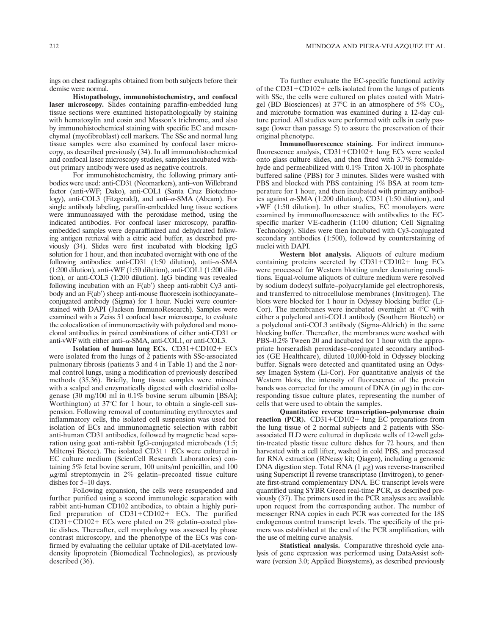ings on chest radiographs obtained from both subjects before their demise were normal.

Histopathology, immunohistochemistry, and confocal laser microscopy. Slides containing paraffin-embedded lung tissue sections were examined histopathologically by staining with hematoxylin and eosin and Masson's trichrome, and also by immunohistochemical staining with specific EC and mesenchymal (myofibroblast) cell markers. The SSc and normal lung tissue samples were also examined by confocal laser microcopy, as described previously (34). In all immunohistochemical and confocal laser microscopy studies, samples incubated without primary antibody were used as negative controls.

For immunohistochemistry, the following primary antibodies were used: anti-CD31 (Neomarkers), anti–von Willebrand factor (anti-vWF; Dako), anti-COL1 (Santa Cruz Biotechnology), anti-COL3 (Fitzgerald), and anti–α-SMA (Abcam). For single antibody labeling, paraffin-embedded lung tissue sections were immunoassayed with the peroxidase method, using the indicated antibodies. For confocal laser microscopy, paraffinembedded samples were deparaffinized and dehydrated following antigen retrieval with a citric acid buffer, as described previously (34). Slides were first incubated with blocking IgG solution for 1 hour, and then incubated overnight with one of the following antibodies: anti-CD31 (1:50 dilution), anti- $\alpha$ -SMA (1:200 dilution), anti-vWF (1:50 dilution), anti-COL1 (1:200 dilution), or anti-COL3 (1:200 dilution). IgG binding was revealed following incubation with an  $F(ab')$  sheep anti-rabbit Cy3 antibody and an F(ab') sheep anti-mouse fluorescein isothiocyanateconjugated antibody (Sigma) for 1 hour. Nuclei were counterstained with DAPI (Jackson ImmunoResearch). Samples were examined with a Zeiss 51 confocal laser microscope, to evaluate the colocalization of immunoreactivity with polyclonal and monoclonal antibodies in paired combinations of either anti-CD31 or anti-vWF with either anti- $\alpha$ -SMA, anti-COL1, or anti-COL3.

Isolation of human lung ECs.  $CD31 + CD102 + ECs$ were isolated from the lungs of 2 patients with SSc-associated pulmonary fibrosis (patients 3 and 4 in Table 1) and the 2 normal control lungs, using a modification of previously described methods (35,36). Briefly, lung tissue samples were minced with a scalpel and enzymatically digested with clostridial collagenase (30 mg/100 ml in 0.1% bovine serum albumin [BSA]; Worthington) at  $37^{\circ}$ C for 1 hour, to obtain a single-cell suspension. Following removal of contaminating erythrocytes and inflammatory cells, the isolated cell suspension was used for isolation of ECs and immunomagnetic selection with rabbit anti-human CD31 antibodies, followed by magnetic bead separation using goat anti-rabbit IgG-conjugated microbeads (1:5; Miltenyi Biotec). The isolated  $CD31+ECs$  were cultured in EC culture medium (ScienCell Research Laboratories) containing 5% fetal bovine serum, 100 units/ml penicillin, and 100  $\mu$ g/ml streptomycin in 2% gelatin–precoated tissue culture dishes for 5–10 days.

Following expansion, the cells were resuspended and further purified using a second immunologic separation with rabbit anti-human CD102 antibodies, to obtain a highly purified preparation of  $CD31+CD102+ECs$ . The purified  $CD31+CD102+ECs$  were plated on 2% gelatin–coated plastic dishes. Thereafter, cell morphology was assessed by phase contrast microscopy, and the phenotype of the ECs was confirmed by evaluating the cellular uptake of DiI-acetylated lowdensity lipoprotein (Biomedical Technologies), as previously described (36).

To further evaluate the EC-specific functional activity of the  $CD31+CD102+$  cells isolated from the lungs of patients with SSc, the cells were cultured on plates coated with Matrigel (BD Biosciences) at 37°C in an atmosphere of 5%  $CO<sub>2</sub>$ , and microtube formation was examined during a 12-day culture period. All studies were performed with cells in early passage (lower than passage 5) to assure the preservation of their original phenotype.

Immunofluorescence staining. For indirect immunofluorescence analysis, CD31+CD102+ lung ECs were seeded onto glass culture slides, and then fixed with 3.7% formaldehyde and permeabilized with 0.1% Triton X-100 in phosphate buffered saline (PBS) for 3 minutes. Slides were washed with PBS and blocked with PBS containing 1% BSA at room temperature for 1 hour, and then incubated with primary antibodies against  $\alpha$ -SMA (1:200 dilution), CD31 (1:50 dilution), and vWF (1:50 dilution). In other studies, EC monolayers were examined by immunofluorescence with antibodies to the ECspecific marker VE-cadherin (1:100 dilution; Cell Signaling Technology). Slides were then incubated with Cy3-conjugated secondary antibodies (1:500), followed by counterstaining of nuclei with DAPI.

Western blot analysis. Aliquots of culture medium containing proteins secreted by  $CD31 + CD102 + \text{lung ECs}$ were processed for Western blotting under denaturing conditions. Equal-volume aliquots of culture medium were resolved by sodium dodecyl sulfate–polyacrylamide gel electrophoresis, and transferred to nitrocellulose membranes (Invitrogen). The blots were blocked for 1 hour in Odyssey blocking buffer (Li-Cor). The membranes were incubated overnight at  $4^{\circ}$ C with either a polyclonal anti-COL1 antibody (Southern Biotech) or a polyclonal anti-COL3 antibody (Sigma-Aldrich) in the same blocking buffer. Thereafter, the membranes were washed with PBS–0.2% Tween 20 and incubated for 1 hour with the appropriate horseradish peroxidase–conjugated secondary antibodies (GE Healthcare), diluted 10,000-fold in Odyssey blocking buffer. Signals were detected and quantitated using an Odyssey Imagen System (Li-Cor). For quantitative analysis of the Western blots, the intensity of fluorescence of the protein bands was corrected for the amount of DNA (in  $\mu$ g) in the corresponding tissue culture plates, representing the number of cells that were used to obtain the samples.

Quantitative reverse transcription–polymerase chain reaction (PCR).  $CD31+CD102+$  lung EC preparations from the lung tissue of 2 normal subjects and 2 patients with SScassociated ILD were cultured in duplicate wells of 12-well gelatin-treated plastic tissue culture dishes for 72 hours, and then harvested with a cell lifter, washed in cold PBS, and processed for RNA extraction (RNeasy kit; Qiagen), including a genomic DNA digestion step. Total RNA  $(1 \mu g)$  was reverse-transcribed using Superscript II reverse transcriptase (Invitrogen), to generate first-strand complementary DNA. EC transcript levels were quantified using SYBR Green real-time PCR, as described previously (37). The primers used in the PCR analyses are available upon request from the corresponding author. The number of messenger RNA copies in each PCR was corrected for the 18S endogenous control transcript levels. The specificity of the primers was established at the end of the PCR amplification, with the use of melting curve analysis.

Statistical analysis. Comparative threshold cycle analysis of gene expression was performed using DataAssist software (version 3.0; Applied Biosystems), as described previously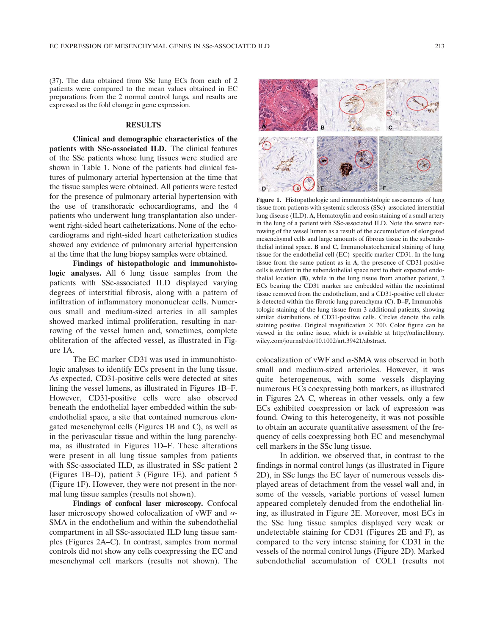(37). The data obtained from SSc lung ECs from each of 2 patients were compared to the mean values obtained in EC preparations from the 2 normal control lungs, and results are expressed as the fold change in gene expression.

### RESULTS

Clinical and demographic characteristics of the patients with SSc-associated ILD. The clinical features of the SSc patients whose lung tissues were studied are shown in Table 1. None of the patients had clinical features of pulmonary arterial hypertension at the time that the tissue samples were obtained. All patients were tested for the presence of pulmonary arterial hypertension with the use of transthoracic echocardiograms, and the 4 patients who underwent lung transplantation also underwent right-sided heart catheterizations. None of the echocardiograms and right-sided heart catheterization studies showed any evidence of pulmonary arterial hypertension at the time that the lung biopsy samples were obtained.

Findings of histopathologic and immunohistologic analyses. All 6 lung tissue samples from the patients with SSc-associated ILD displayed varying degrees of interstitial fibrosis, along with a pattern of infiltration of inflammatory mononuclear cells. Numerous small and medium-sized arteries in all samples showed marked intimal proliferation, resulting in narrowing of the vessel lumen and, sometimes, complete obliteration of the affected vessel, as illustrated in Figure 1A.

The EC marker CD31 was used in immunohistologic analyses to identify ECs present in the lung tissue. As expected, CD31-positive cells were detected at sites lining the vessel lumens, as illustrated in Figures 1B–F. However, CD31-positive cells were also observed beneath the endothelial layer embedded within the subendothelial space, a site that contained numerous elongated mesenchymal cells (Figures 1B and C), as well as in the perivascular tissue and within the lung parenchyma, as illustrated in Figures 1D–F. These alterations were present in all lung tissue samples from patients with SSc-associated ILD, as illustrated in SSc patient 2 (Figures 1B–D), patient 3 (Figure 1E), and patient 5 (Figure 1F). However, they were not present in the normal lung tissue samples (results not shown).

Findings of confocal laser microscopy. Confocal laser microscopy showed colocalization of vWF and  $\alpha$ -SMA in the endothelium and within the subendothelial compartment in all SSc-associated ILD lung tissue samples (Figures 2A–C). In contrast, samples from normal controls did not show any cells coexpressing the EC and mesenchymal cell markers (results not shown). The



Figure 1. Histopathologic and immunohistologic assessments of lung tissue from patients with systemic sclerosis (SSc)–associated interstitial lung disease (ILD). A, Hematoxylin and eosin staining of a small artery in the lung of a patient with SSc-associated ILD. Note the severe narrowing of the vessel lumen as a result of the accumulation of elongated mesenchymal cells and large amounts of fibrous tissue in the subendothelial intimal space. B and C, Immunohistochemical staining of lung tissue for the endothelial cell (EC)–specific marker CD31. In the lung tissue from the same patient as in A, the presence of CD31-positive cells is evident in the subendothelial space next to their expected endothelial location (B), while in the lung tissue from another patient, 2 ECs bearing the CD31 marker are embedded within the neointimal tissue removed from the endothelium, and a CD31-positive cell cluster is detected within the fibrotic lung parenchyma (C). D–F, Immunohistologic staining of the lung tissue from 3 additional patients, showing similar distributions of CD31-positive cells. Circles denote the cells staining positive. Original magnification  $\times$  200. Color figure can be viewed in the online issue, which is available at [http://onlinelibrary.](http://onlinelibrary.wiley.com/journal/doi/10.1002/art.39421/abstract) [wiley.com/journal/doi/10.1002/art.39421/abstract.](http://onlinelibrary.wiley.com/journal/doi/10.1002/art.39421/abstract)

colocalization of vWF and  $\alpha$ -SMA was observed in both small and medium-sized arterioles. However, it was quite heterogeneous, with some vessels displaying numerous ECs coexpressing both markers, as illustrated in Figures 2A–C, whereas in other vessels, only a few ECs exhibited coexpression or lack of expression was found. Owing to this heterogeneity, it was not possible to obtain an accurate quantitative assessment of the frequency of cells coexpressing both EC and mesenchymal cell markers in the SSc lung tissue.

In addition, we observed that, in contrast to the findings in normal control lungs (as illustrated in Figure 2D), in SSc lungs the EC layer of numerous vessels displayed areas of detachment from the vessel wall and, in some of the vessels, variable portions of vessel lumen appeared completely denuded from the endothelial lining, as illustrated in Figure 2E. Moreover, most ECs in the SSc lung tissue samples displayed very weak or undetectable staining for CD31 (Figures 2E and F), as compared to the very intense staining for CD31 in the vessels of the normal control lungs (Figure 2D). Marked subendothelial accumulation of COL1 (results not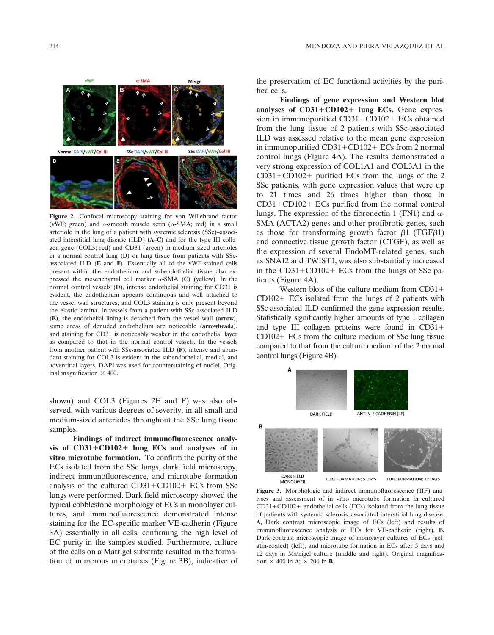

Figure 2. Confocal microscopy staining for von Willebrand factor (vWF; green) and  $\alpha$ -smooth muscle actin ( $\alpha$ -SMA; red) in a small arteriole in the lung of a patient with systemic sclerosis (SSc)–associated interstitial lung disease (ILD) (A–C) and for the type III collagen gene (COL3; red) and CD31 (green) in medium-sized arterioles in a normal control lung (D) or lung tissue from patients with SScassociated ILD (E and F). Essentially all of the vWF-stained cells present within the endothelium and subendothelial tissue also expressed the mesenchymal cell marker  $\alpha$ -SMA (C) (yellow). In the normal control vessels (D), intense endothelial staining for CD31 is evident, the endothelium appears continuous and well attached to the vessel wall structures, and COL3 staining is only present beyond the elastic lamina. In vessels from a patient with SSc-associated ILD (E), the endothelial lining is detached from the vessel wall (arrow), some areas of denuded endothelium are noticeable (arrowheads), and staining for CD31 is noticeably weaker in the endothelial layer as compared to that in the normal control vessels. In the vessels from another patient with SSc-associated ILD (F), intense and abundant staining for COL3 is evident in the subendothelial, medial, and adventitial layers. DAPI was used for counterstaining of nuclei. Original magnification  $\times$  400.

shown) and COL3 (Figures 2E and F) was also observed, with various degrees of severity, in all small and medium-sized arterioles throughout the SSc lung tissue samples.

Findings of indirect immunofluorescence analysis of  $CD31+CD102+$  lung ECs and analyses of in vitro microtube formation. To confirm the purity of the ECs isolated from the SSc lungs, dark field microscopy, indirect immunofluorescence, and microtube formation analysis of the cultured  $CD31 + CD102 + ECs$  from SSc lungs were performed. Dark field microscopy showed the typical cobblestone morphology of ECs in monolayer cultures, and immunofluorescence demonstrated intense staining for the EC-specific marker VE-cadherin (Figure 3A) essentially in all cells, confirming the high level of EC purity in the samples studied. Furthermore, culture of the cells on a Matrigel substrate resulted in the formation of numerous microtubes (Figure 3B), indicative of the preservation of EC functional activities by the purified cells.

Findings of gene expression and Western blot analyses of  $CD31+CD102+$  lung ECs. Gene expression in immunopurified  $CD31+CD102+ECs$  obtained from the lung tissue of 2 patients with SSc-associated ILD was assessed relative to the mean gene expression in immunopurified  $CD31+CD102+ECs$  from 2 normal control lungs (Figure 4A). The results demonstrated a very strong expression of COL1A1 and COL3A1 in the  $CD31 + CD102 +$  purified ECs from the lungs of the 2 SSc patients, with gene expression values that were up to 21 times and 26 times higher than those in  $CD31+CD102+ECs$  purified from the normal control lungs. The expression of the fibronectin 1 (FN1) and  $\alpha$ -SMA (ACTA2) genes and other profibrotic genes, such as those for transforming growth factor  $\beta$ 1 (TGF $\beta$ 1) and connective tissue growth factor (CTGF), as well as the expression of several EndoMT-related genes, such as SNAI2 and TWIST1, was also substantially increased in the  $CD31+CD102+ECs$  from the lungs of SSc patients (Figure 4A).

Western blots of the culture medium from  $CD31+$  $CD102+ECs$  isolated from the lungs of 2 patients with SSc-associated ILD confirmed the gene expression results. Statistically significantly higher amounts of type I collagen and type III collagen proteins were found in  $CD31+$  $CD102+ECs$  from the culture medium of SSc lung tissue compared to that from the culture medium of the 2 normal control lungs (Figure 4B).



Figure 3. Morphologic and indirect immunofluorescence (IIF) analyses and assessment of in vitro microtube formation in cultured  $CD31+CD102+$  endothelial cells (ECs) isolated from the lung tissue of patients with systemic sclerosis–associated interstitial lung disease. A, Dark contrast microscopic image of ECs (left) and results of immunofluorescence analysis of ECs for VE-cadherin (right). B, Dark contrast microscopic image of monolayer cultures of ECs (gelatin-coated) (left), and microtube formation in ECs after 5 days and 12 days in Matrigel culture (middle and right). Original magnification  $\times$  400 in **A**;  $\times$  200 in **B**.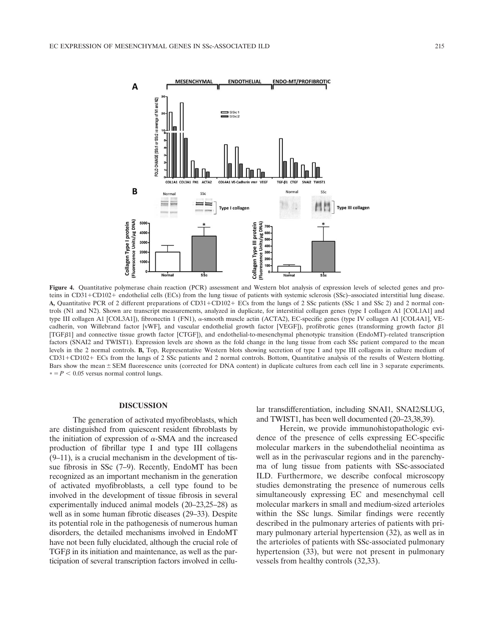A

B

Fluorescence Units/µg DNA) Collagen Type I protein

300

 $10$ 



 $20<sub>0</sub>$ 

Figure 4. Quantitative polymerase chain reaction (PCR) assessment and Western blot analysis of expression levels of selected genes and proteins in CD31+CD102+ endothelial cells (ECs) from the lung tissue of patients with systemic sclerosis (SSc)–associated interstitial lung disease. A, Quantitative PCR of 2 different preparations of CD31+CD102+ ECs from the lungs of 2 SSc patients (SSc 1 and SSc 2) and 2 normal controls (N1 and N2). Shown are transcript measurements, analyzed in duplicate, for interstitial collagen genes (type I collagen A1 [COL1A1] and type III collagen A1 [COL3A1]), fibronectin 1 (FN1), α-smooth muscle actin (ACTA2), EC-specific genes (type IV collagen A1 [COL4A1], VEcadherin, von Willebrand factor [vWF], and vascular endothelial growth factor [VEGF]), profibrotic genes (transforming growth factor  $\beta$ 1 [TGFß1] and connective tissue growth factor [CTGF]), and endothelial-to-mesenchymal phenotypic transition (EndoMT)–related transcription factors (SNAI2 and TWIST1). Expression levels are shown as the fold change in the lung tissue from each SSc patient compared to the mean levels in the 2 normal controls. B, Top, Representative Western blots showing secretion of type I and type III collagens in culture medium of CD311CD1021 ECs from the lungs of 2 SSc patients and 2 normal controls. Bottom, Quantitative analysis of the results of Western blotting. Bars show the mean  $\pm$  SEM fluorescence units (corrected for DNA content) in duplicate cultures from each cell line in 3 separate experiments.  $* = P < 0.05$  versus normal control lungs.

 $\overline{\mathbf{s}}$ 

#### DISCUSSION

The generation of activated myofibroblasts, which are distinguished from quiescent resident fibroblasts by the initiation of expression of  $\alpha$ -SMA and the increased production of fibrillar type I and type III collagens (9–11), is a crucial mechanism in the development of tissue fibrosis in SSc (7–9). Recently, EndoMT has been recognized as an important mechanism in the generation of activated myofibroblasts, a cell type found to be involved in the development of tissue fibrosis in several experimentally induced animal models (20–23,25–28) as well as in some human fibrotic diseases (29–33). Despite its potential role in the pathogenesis of numerous human disorders, the detailed mechanisms involved in EndoMT have not been fully elucidated, although the crucial role of  $TGF\beta$  in its initiation and maintenance, as well as the participation of several transcription factors involved in cellular transdifferentiation, including SNAI1, SNAI2/SLUG, and TWIST1, has been well documented (20–23,38,39).

 $\overline{\text{s}}$ 

Herein, we provide immunohistopathologic evidence of the presence of cells expressing EC-specific molecular markers in the subendothelial neointima as well as in the perivascular regions and in the parenchyma of lung tissue from patients with SSc-associated ILD. Furthermore, we describe confocal microscopy studies demonstrating the presence of numerous cells simultaneously expressing EC and mesenchymal cell molecular markers in small and medium-sized arterioles within the SSc lungs. Similar findings were recently described in the pulmonary arteries of patients with primary pulmonary arterial hypertension (32), as well as in the arterioles of patients with SSc-associated pulmonary hypertension (33), but were not present in pulmonary vessels from healthy controls (32,33).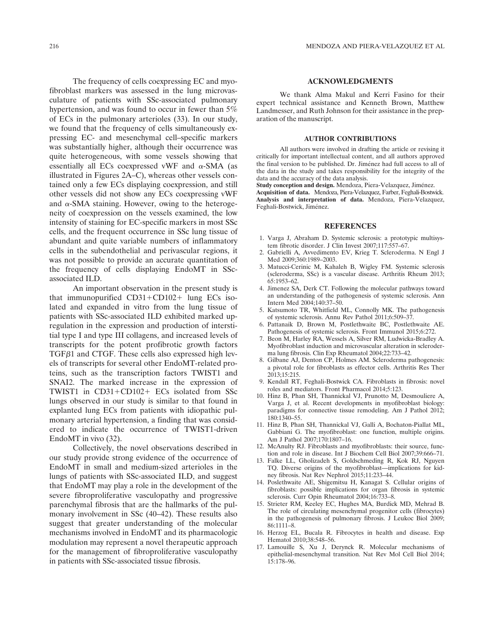The frequency of cells coexpressing EC and myofibroblast markers was assessed in the lung microvasculature of patients with SSc-associated pulmonary hypertension, and was found to occur in fewer than 5% of ECs in the pulmonary arterioles (33). In our study, we found that the frequency of cells simultaneously expressing EC- and mesenchymal cell–specific markers was substantially higher, although their occurrence was quite heterogeneous, with some vessels showing that essentially all ECs coexpressed vWF and  $\alpha$ -SMA (as illustrated in Figures 2A–C), whereas other vessels contained only a few ECs displaying coexpression, and still other vessels did not show any ECs coexpressing vWF and  $\alpha$ -SMA staining. However, owing to the heterogeneity of coexpression on the vessels examined, the low intensity of staining for EC-specific markers in most SSc cells, and the frequent occurrence in SSc lung tissue of abundant and quite variable numbers of inflammatory cells in the subendothelial and perivascular regions, it was not possible to provide an accurate quantitation of the frequency of cells displaying EndoMT in SScassociated ILD.

An important observation in the present study is that immunopurified  $CD31+CD102+$  lung ECs isolated and expanded in vitro from the lung tissue of patients with SSc-associated ILD exhibited marked upregulation in the expression and production of interstitial type I and type III collagens, and increased levels of transcripts for the potent profibrotic growth factors  $TGF\beta1$  and CTGF. These cells also expressed high levels of transcripts for several other EndoMT-related proteins, such as the transcription factors TWIST1 and SNAI2. The marked increase in the expression of TWIST1 in  $CD31+CD102+ECs$  isolated from SSc lungs observed in our study is similar to that found in explanted lung ECs from patients with idiopathic pulmonary arterial hypertension, a finding that was considered to indicate the occurrence of TWIST1-driven EndoMT in vivo (32).

Collectively, the novel observations described in our study provide strong evidence of the occurrence of EndoMT in small and medium-sized arterioles in the lungs of patients with SSc-associated ILD, and suggest that EndoMT may play a role in the development of the severe fibroproliferative vasculopathy and progressive parenchymal fibrosis that are the hallmarks of the pulmonary involvement in SSc (40–42). These results also suggest that greater understanding of the molecular mechanisms involved in EndoMT and its pharmacologic modulation may represent a novel therapeutic approach for the management of fibroproliferative vasculopathy in patients with SSc-associated tissue fibrosis.

## ACKNOWLEDGMENTS

We thank Alma Makul and Kerri Fasino for their expert technical assistance and Kenneth Brown, Matthew Landmesser, and Ruth Johnson for their assistance in the preparation of the manuscript.

#### AUTHOR CONTRIBUTIONS

All authors were involved in drafting the article or revising it critically for important intellectual content, and all authors approved the final version to be published. Dr. Jiménez had full access to all of the data in the study and takes responsibility for the integrity of the data and the accuracy of the data analysis.

Study conception and design. Mendoza, Piera-Velazquez, Jiménez.

Acquisition of data. Mendoza, Piera-Velazquez, Farber, Feghali-Bostwick. Analysis and interpretation of data. Mendoza, Piera-Velazquez, Feghali-Bostwick, Jiménez.

### REFERENCES

- 1. Varga J, Abraham D. Systemic sclerosis: a prototypic multisystem fibrotic disorder. J Clin Invest 2007;117:557–67.
- 2. Gabrielli A, Avvedimento EV, Krieg T. Scleroderma. N Engl J Med 2009;360:1989–2003.
- 3. Matucci-Cerinic M, Kahaleh B, Wigley FM. Systemic sclerosis (scleroderma, SSc) is a vascular disease. Arthritis Rheum 2013; 65:1953–62.
- 4. Jimenez SA, Derk CT. Following the molecular pathways toward an understanding of the pathogenesis of systemic sclerosis. Ann Intern Med 2004;140:37–50.
- 5. Katsumoto TR, Whitfield ML, Connolly MK. The pathogenesis of systemic sclerosis. Annu Rev Pathol 2011;6:509–37.
- 6. Pattanaik D, Brown M, Postlethwaite BC, Postlethwaite AE. Pathogenesis of systemic sclerosis. Front Immunol 2015;6:272.
- 7. Beon M, Harley RA, Wessels A, Silver RM, Ludwicka-Bradley A. Myofibroblast induction and microvascular alteration in scleroderma lung fibrosis. Clin Exp Rheumatol 2004;22:733–42.
- 8. Gilbane AJ, Denton CP, Holmes AM. Scleroderma pathogenesis: a pivotal role for fibroblasts as effector cells. Arthritis Res Ther 2013;15:215.
- 9. Kendall RT, Feghali-Bostwick CA. Fibroblasts in fibrosis: novel roles and mediators. Front Pharmacol 2014;5:123.
- 10. Hinz B, Phan SH, Thannickal VJ, Prunotto M, Desmouliere A, Varga J, et al. Recent developments in myofibroblast biology: paradigms for connective tissue remodeling. Am J Pathol 2012;  $180.1340 - 55$
- 11. Hinz B, Phan SH, Thannickal VJ, Galli A, Bochaton-Piallat ML, Gabbiani G. The myofibroblast: one function, multiple origins. Am J Pathol 2007;170:1807–16.
- 12. McAnulty RJ. Fibroblasts and myofibroblasts: their source, function and role in disease. Int J Biochem Cell Biol 2007;39:666–71.
- 13. Falke LL, Gholizadeh S, Goldschmeding R, Kok RJ, Nguyen TQ. Diverse origins of the myofibroblast—implications for kidney fibrosis. Nat Rev Nephrol 2015;11:233–44.
- 14. Poslethwaite AE, Shigemitsu H, Kanagat S. Cellular origins of fibroblasts: possible implications for organ fibrosis in systemic sclerosis. Curr Opin Rheumatol 2004;16:733–8.
- 15. Strieter RM, Keeley EC, Hughes MA, Burdick MD, Mehrad B. The role of circulating mesenchymal progenitor cells (fibrocytes) in the pathogenesis of pulmonary fibrosis. J Leukoc Biol 2009; 86:1111–8.
- 16. Herzog EL, Bucala R. Fibrocytes in health and disease. Exp Hematol 2010;38:548–56.
- 17. Lamouille S, Xu J, Derynck R. Molecular mechanisms of epithelial-mesenchymal transition. Nat Rev Mol Cell Biol 2014; 15:178–96.